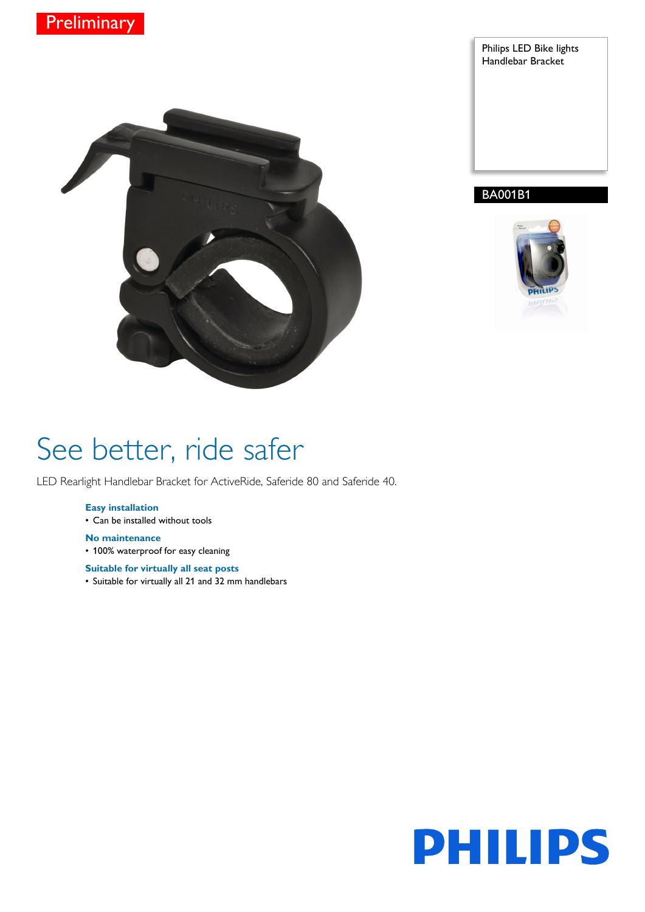



Philips LED Bike lights Handlebar Bracket

## BA001B1



# See better, ride safer

LED Rearlight Handlebar Bracket for ActiveRide, Saferide 80 and Saferide 40.

## **Easy installation**

• Can be installed without tools

## **No maintenance**

• 100% waterproof for easy cleaning

## **Suitable for virtually all seat posts**

• Suitable for virtually all 21 and 32 mm handlebars